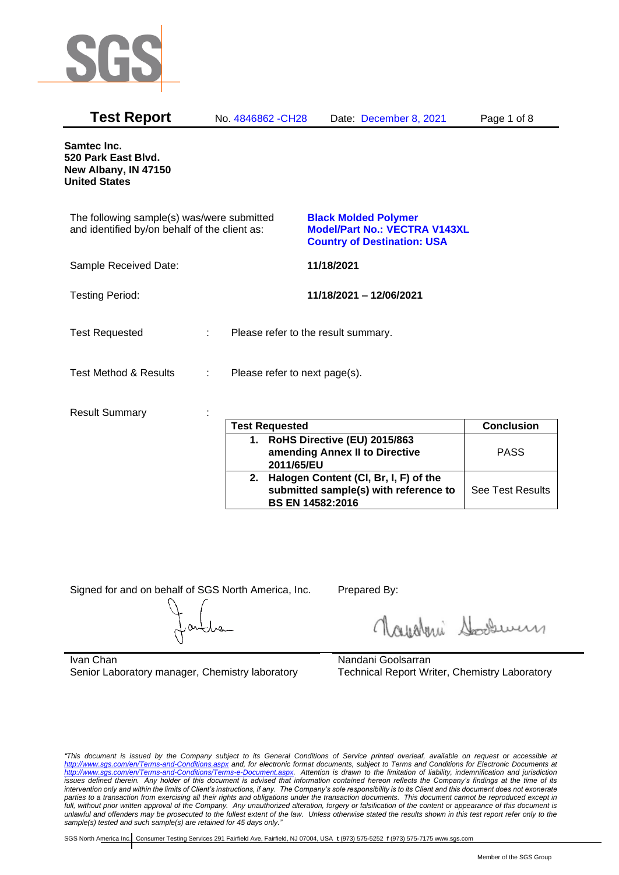

| <b>Test Report</b>                                                                          | No. 4846862 - CH28            | Date: December 8, 2021                                                                                    | Page 1 of 8        |
|---------------------------------------------------------------------------------------------|-------------------------------|-----------------------------------------------------------------------------------------------------------|--------------------|
| Samtec Inc.<br>520 Park East Blvd.<br>New Albany, IN 47150<br><b>United States</b>          |                               |                                                                                                           |                    |
| The following sample(s) was/were submitted<br>and identified by/on behalf of the client as: |                               | <b>Black Molded Polymer</b><br><b>Model/Part No.: VECTRA V143XL</b><br><b>Country of Destination: USA</b> |                    |
| Sample Received Date:                                                                       |                               | 11/18/2021                                                                                                |                    |
| <b>Testing Period:</b>                                                                      |                               | 11/18/2021 - 12/06/2021                                                                                   |                    |
| <b>Test Requested</b>                                                                       |                               | Please refer to the result summary.                                                                       |                    |
| <b>Test Method &amp; Results</b>                                                            | Please refer to next page(s). |                                                                                                           |                    |
| <b>Result Summary</b>                                                                       | $ -$                          |                                                                                                           | $\sim$ $\sim$<br>. |

| <b>Test Requested</b> |                                                                                                              | <b>Conclusion</b>       |
|-----------------------|--------------------------------------------------------------------------------------------------------------|-------------------------|
|                       | 1. RoHS Directive (EU) 2015/863<br>amending Annex II to Directive<br>2011/65/EU                              | <b>PASS</b>             |
|                       | 2. Halogen Content (CI, Br, I, F) of the<br>submitted sample(s) with reference to<br><b>BS EN 14582:2016</b> | <b>See Test Results</b> |

Signed for and on behalf of SGS North America, Inc. Prepared By:

Roughan Souri

Ivan Chan Senior Laboratory manager, Chemistry laboratory

Nandani Goolsarran Technical Report Writer, Chemistry Laboratory

*"This document is issued by the Company subject to its General Conditions of Service printed overleaf, available on request or accessible at <http://www.sgs.com/en/Terms-and-Conditions.aspx> and, for electronic format documents, subject to Terms and Conditions for Electronic Documents at [http://www.sgs.com/en/Terms-and-Conditions/Terms-e-Document.aspx.](http://www.sgs.com/en/Terms-and-Conditions/Terms-e-Document.aspx) Attention is drawn to the limitation of liability, indemnification and jurisdiction issues defined therein. Any holder of this document is advised that information contained hereon reflects the Company's findings at the time of its intervention only and within the limits of Client's instructions, if any. The Company's sole responsibility is to its Client and this document does not exonerate*  parties to a transaction from exercising all their rights and obligations under the transaction documents. This document cannot be reproduced except in *full, without prior written approval of the Company. Any unauthorized alteration, forgery or falsification of the content or appearance of this document is unlawful and offenders may be prosecuted to the fullest extent of the law. Unless otherwise stated the results shown in this test report refer only to the sample(s) tested and such sample(s) are retained for 45 days only."*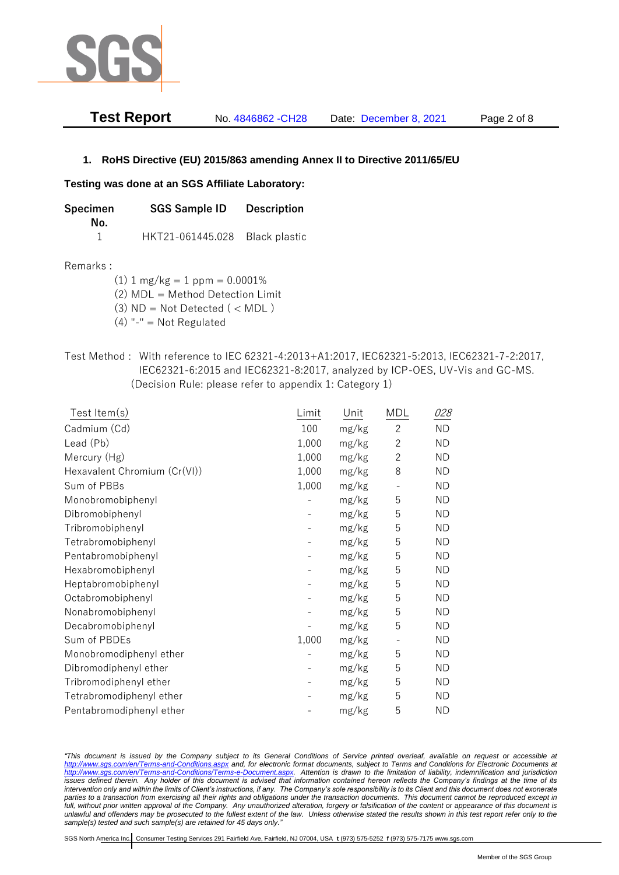

| <b>Test Report</b> | No. 4846862 - CH28 | Date: December 8, 2021 | Page 2 of 8 |
|--------------------|--------------------|------------------------|-------------|
|                    |                    |                        |             |

## **1. RoHS Directive (EU) 2015/863 amending Annex II to Directive 2011/65/EU**

### **Testing was done at an SGS Affiliate Laboratory:**

**Specimen SGS Sample ID Description No.** 1 HKT21-061445.028 Black plastic

#### Remarks :

 $(1)$  1 mg/kg = 1 ppm = 0.0001%

(2) MDL = Method Detection Limit

 $(3)$  ND = Not Detected  $($  < MDL)

- (4) "-" = Not Regulated
- Test Method : With reference to IEC 62321-4:2013+A1:2017, IEC62321-5:2013, IEC62321-7-2:2017, IEC62321-6:2015 and IEC62321-8:2017, analyzed by ICP-OES, UV-Vis and GC-MS. (Decision Rule: please refer to appendix 1: Category 1)

| Test Item(s)                 | Limit | Unit  | MDL            | 028       |
|------------------------------|-------|-------|----------------|-----------|
| Cadmium (Cd)                 | 100   | mg/kg | $\overline{2}$ | <b>ND</b> |
| Lead (Pb)                    | 1,000 | mg/kg | $\mathbf{2}$   | <b>ND</b> |
| Mercury (Hg)                 | 1,000 | mg/kg | $\mathbf{2}$   | <b>ND</b> |
| Hexavalent Chromium (Cr(VI)) | 1,000 | mg/kg | 8              | ND        |
| Sum of PBBs                  | 1,000 | mg/kg |                | <b>ND</b> |
| Monobromobiphenyl            |       | mg/kg | 5              | <b>ND</b> |
| Dibromobiphenyl              |       | mg/kg | 5              | <b>ND</b> |
| Tribromobiphenyl             |       | mg/kg | 5              | <b>ND</b> |
| Tetrabromobiphenyl           |       | mg/kg | 5              | <b>ND</b> |
| Pentabromobiphenyl           |       | mg/kg | 5              | <b>ND</b> |
| Hexabromobiphenyl            |       | mg/kg | 5              | <b>ND</b> |
| Heptabromobiphenyl           |       | mg/kg | 5              | <b>ND</b> |
| Octabromobiphenyl            |       | mg/kg | 5              | <b>ND</b> |
| Nonabromobiphenyl            |       | mg/kg | 5              | <b>ND</b> |
| Decabromobiphenyl            |       | mg/kg | 5              | <b>ND</b> |
| Sum of PBDEs                 | 1,000 | mg/kg |                | <b>ND</b> |
| Monobromodiphenyl ether      |       | mg/kg | 5              | <b>ND</b> |
| Dibromodiphenyl ether        |       | mg/kg | 5              | ND        |
| Tribromodiphenyl ether       |       | mg/kg | 5              | <b>ND</b> |
| Tetrabromodiphenyl ether     |       | mg/kg | 5              | <b>ND</b> |
| Pentabromodiphenyl ether     |       | mg/kg | 5              | <b>ND</b> |

*"This document is issued by the Company subject to its General Conditions of Service printed overleaf, available on request or accessible at <http://www.sgs.com/en/Terms-and-Conditions.aspx> and, for electronic format documents, subject to Terms and Conditions for Electronic Documents at [http://www.sgs.com/en/Terms-and-Conditions/Terms-e-Document.aspx.](http://www.sgs.com/en/Terms-and-Conditions/Terms-e-Document.aspx) Attention is drawn to the limitation of liability, indemnification and jurisdiction issues defined therein. Any holder of this document is advised that information contained hereon reflects the Company's findings at the time of its intervention only and within the limits of Client's instructions, if any. The Company's sole responsibility is to its Client and this document does not exonerate parties to a transaction from exercising all their rights and obligations under the transaction documents. This document cannot be reproduced except in full, without prior written approval of the Company. Any unauthorized alteration, forgery or falsification of the content or appearance of this document is unlawful and offenders may be prosecuted to the fullest extent of the law. Unless otherwise stated the results shown in this test report refer only to the sample(s) tested and such sample(s) are retained for 45 days only."*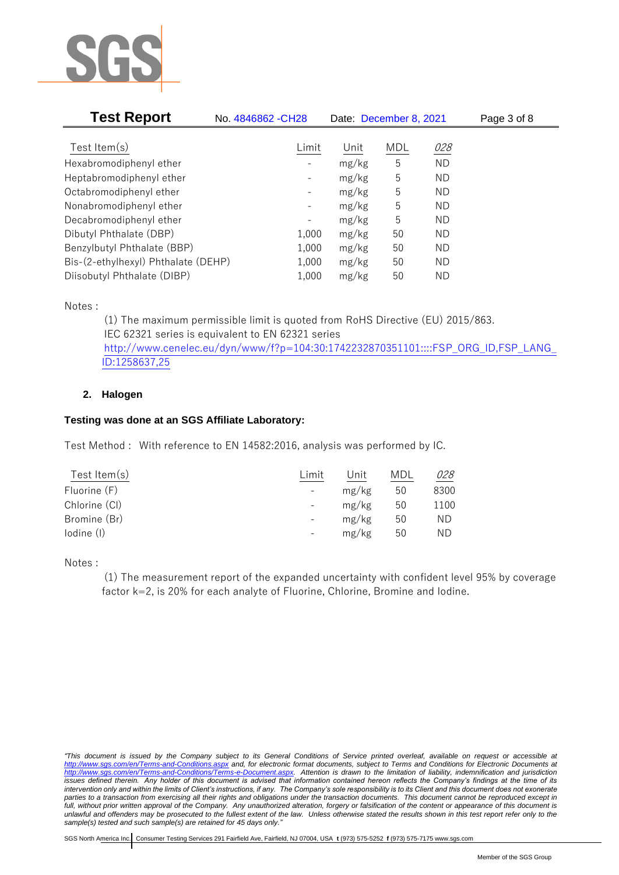

| <b>Test Report</b>                  | No. 4846862 - CH28           | Date: December 8, 2021 |     |           | Page 3 of 8 |
|-------------------------------------|------------------------------|------------------------|-----|-----------|-------------|
|                                     |                              |                        |     |           |             |
| Test Item $(s)$                     | Limit                        | Unit                   | MDL | 028       |             |
| Hexabromodiphenyl ether             |                              | mg/kg                  | 5   | <b>ND</b> |             |
| Heptabromodiphenyl ether            |                              | mg/kg                  | 5   | ND        |             |
| Octabromodiphenyl ether             | $\qquad \qquad \blacksquare$ | mg/kg                  | 5   | ND        |             |
| Nonabromodiphenyl ether             | -                            | mg/kg                  | 5   | ND        |             |
| Decabromodiphenyl ether             | $\qquad \qquad \blacksquare$ | mg/kg                  | 5   | ND        |             |
| Dibutyl Phthalate (DBP)             | 1,000                        | mg/kg                  | 50  | ND        |             |
| Benzylbutyl Phthalate (BBP)         | 1,000                        | mg/kg                  | 50  | ND        |             |
| Bis-(2-ethylhexyl) Phthalate (DEHP) | 1,000                        | mg/kg                  | 50  | ND        |             |
| Diisobutyl Phthalate (DIBP)         | 1,000                        | mg/kg                  | 50  | ΝD        |             |

Notes :

(1) The maximum permissible limit is quoted from RoHS Directive (EU) 2015/863. IEC 62321 series is equivalent to EN 62321 series [http://www.cenelec.eu/dyn/www/f?p=104:30:1742232870351101::::FSP\\_ORG\\_ID,FSP\\_LANG\\_](http://www.cenelec.eu/dyn/www/f?p=104:30:1742232870351101::::FSP_ORG_ID,FSP_LANG_ID:1258637,25) [ID:1258637,25](http://www.cenelec.eu/dyn/www/f?p=104:30:1742232870351101::::FSP_ORG_ID,FSP_LANG_ID:1258637,25)

# **2. Halogen**

# **Testing was done at an SGS Affiliate Laboratory:**

Test Method : With reference to EN 14582:2016, analysis was performed by IC.

| Test Item $(s)$ | Limit                    | Unit  | MDL | 028  |
|-----------------|--------------------------|-------|-----|------|
| Fluorine (F)    | $\overline{\phantom{a}}$ | mg/kg | 50  | 8300 |
| Chlorine (CI)   |                          | mg/kg | 50  | 1100 |
| Bromine (Br)    |                          | mg/kg | 50  | ΝD   |
| lodine (I)      | -                        | mg/kg | 50  | ΝD   |
|                 |                          |       |     |      |

Notes :

(1) The measurement report of the expanded uncertainty with confident level 95% by coverage factor k=2, is 20% for each analyte of Fluorine, Chlorine, Bromine and Iodine.

*<sup>&</sup>quot;This document is issued by the Company subject to its General Conditions of Service printed overleaf, available on request or accessible at <http://www.sgs.com/en/Terms-and-Conditions.aspx> and, for electronic format documents, subject to Terms and Conditions for Electronic Documents at [http://www.sgs.com/en/Terms-and-Conditions/Terms-e-Document.aspx.](http://www.sgs.com/en/Terms-and-Conditions/Terms-e-Document.aspx) Attention is drawn to the limitation of liability, indemnification and jurisdiction issues defined therein. Any holder of this document is advised that information contained hereon reflects the Company's findings at the time of its intervention only and within the limits of Client's instructions, if any. The Company's sole responsibility is to its Client and this document does not exonerate parties to a transaction from exercising all their rights and obligations under the transaction documents. This document cannot be reproduced except in full, without prior written approval of the Company. Any unauthorized alteration, forgery or falsification of the content or appearance of this document is unlawful and offenders may be prosecuted to the fullest extent of the law. Unless otherwise stated the results shown in this test report refer only to the sample(s) tested and such sample(s) are retained for 45 days only."*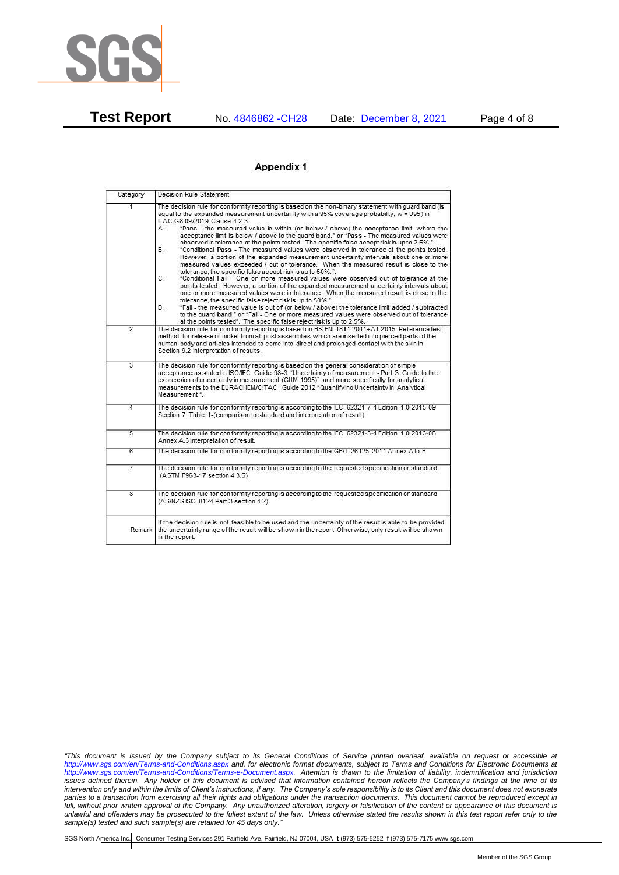

**Test Report** No. 4846862 -CH28 Date: December 8, 2021 Page 4 of 8

### Appendix 1

| Category                | Decision Rule Statement                                                                                                                                                                                                                                                                                                                                                                                                                                                                                                                                                                                                                                                                                                                                                                                                                                                                                                                                                                                                                                                                                                                                                                                                                                                                                                                                                                                                                                                                                                   |
|-------------------------|---------------------------------------------------------------------------------------------------------------------------------------------------------------------------------------------------------------------------------------------------------------------------------------------------------------------------------------------------------------------------------------------------------------------------------------------------------------------------------------------------------------------------------------------------------------------------------------------------------------------------------------------------------------------------------------------------------------------------------------------------------------------------------------------------------------------------------------------------------------------------------------------------------------------------------------------------------------------------------------------------------------------------------------------------------------------------------------------------------------------------------------------------------------------------------------------------------------------------------------------------------------------------------------------------------------------------------------------------------------------------------------------------------------------------------------------------------------------------------------------------------------------------|
| 1                       | The decision rule for conformity reporting is based on the non-binary statement with quard band (is<br>equal to the expanded measurement uncertainty with a 95% coverage probability, w = U95) in<br>ILAC-G8:09/2019 Clause 4.2.3.<br>"Pass - the measured value is within (or below / above) the acceptance limit, where the<br>А.<br>acceptance limit is below / above to the quard band." or "Pass - The measured values were<br>observed in tolerance at the points tested. The specific false accept risk is up to 2.5%.".<br><b>B.</b><br>"Conditional Pass - The measured values were observed in tolerance at the points tested.<br>However, a portion of the expanded measurement uncertainty intervals about one or more<br>measured values exceeded / out of tolerance. When the measured result is close to the<br>tolerance, the specific false accept risk is up to 50%.".<br>C.<br>"Conditional Fail - One or more measured values were observed out of tolerance at the<br>points tested. However, a portion of the expanded measurement uncertainty intervals about<br>one or more measured values were in tolerance. When the measured result is close to the<br>tolerance, the specific false reject risk is up to 50%.".<br>"Fail - the measured value is out of (or below / above) the tolerance limit added / subtracted<br>D.<br>to the quard band." or "Fail - One or more measured values were observed out of tolerance<br>at the points tested". The specific false reject risk is up to 2.5%. |
| $\overline{2}$          | The decision rule for conformity reporting is based on BS EN 1811:2011+A1:2015: Reference test<br>method for release of nickel from all post assemblies which are inserted into pierced parts of the<br>human body and articles intended to come into direct and prolonged contact with the skin in<br>Section 9.2 interpretation of results.                                                                                                                                                                                                                                                                                                                                                                                                                                                                                                                                                                                                                                                                                                                                                                                                                                                                                                                                                                                                                                                                                                                                                                             |
| $\overline{3}$          | The decision rule for conformity reporting is based on the general consideration of simple<br>acceptance as stated in ISO/IEC Guide 98-3: "Uncertainty of measurement - Part 3: Guide to the<br>expression of uncertainty in measurement (GUM 1995)", and more specifically for analytical<br>measurements to the EURACHEM/CITAC Guide 2012 "Quantifying Uncertainty in Analytical<br>Measurement *.                                                                                                                                                                                                                                                                                                                                                                                                                                                                                                                                                                                                                                                                                                                                                                                                                                                                                                                                                                                                                                                                                                                      |
| 4                       | The decision rule for conformity reporting is according to the IEC 62321-7-1 Edition 1.0 2015-09<br>Section 7: Table 1-(comparison to standard and interpretation of result)                                                                                                                                                                                                                                                                                                                                                                                                                                                                                                                                                                                                                                                                                                                                                                                                                                                                                                                                                                                                                                                                                                                                                                                                                                                                                                                                              |
| $\overline{5}$          | The decision rule for conformity reporting is according to the IEC 62321-3-1 Edition 1.0 2013-06<br>Annex A.3 interpretation of result.                                                                                                                                                                                                                                                                                                                                                                                                                                                                                                                                                                                                                                                                                                                                                                                                                                                                                                                                                                                                                                                                                                                                                                                                                                                                                                                                                                                   |
| 6                       | The decision rule for conformity reporting is according to the GB/T 26125-2011 Annex A to H                                                                                                                                                                                                                                                                                                                                                                                                                                                                                                                                                                                                                                                                                                                                                                                                                                                                                                                                                                                                                                                                                                                                                                                                                                                                                                                                                                                                                               |
| 7                       | The decision rule for conformity reporting is according to the requested specification or standard<br>(ASTM F963-17 section 4.3.5)                                                                                                                                                                                                                                                                                                                                                                                                                                                                                                                                                                                                                                                                                                                                                                                                                                                                                                                                                                                                                                                                                                                                                                                                                                                                                                                                                                                        |
| $\overline{\mathbf{8}}$ | The decision rule for conformity reporting is according to the requested specification or standard<br>(AS/NZS ISO 8124 Part 3 section 4.2)                                                                                                                                                                                                                                                                                                                                                                                                                                                                                                                                                                                                                                                                                                                                                                                                                                                                                                                                                                                                                                                                                                                                                                                                                                                                                                                                                                                |
| Remark                  | If the decision rule is not feasible to be used and the uncertainty of the result is able to be provided,<br>the uncertainty range of the result will be shown in the report. Otherwise, only result will be shown<br>in the report.                                                                                                                                                                                                                                                                                                                                                                                                                                                                                                                                                                                                                                                                                                                                                                                                                                                                                                                                                                                                                                                                                                                                                                                                                                                                                      |

*<sup>&</sup>quot;This document is issued by the Company subject to its General Conditions of Service printed overleaf, available on request or accessible at <http://www.sgs.com/en/Terms-and-Conditions.aspx> and, for electronic format documents, subject to Terms and Conditions for Electronic Documents at [http://www.sgs.com/en/Terms-and-Conditions/Terms-e-Document.aspx.](http://www.sgs.com/en/Terms-and-Conditions/Terms-e-Document.aspx) Attention is drawn to the limitation of liability, indemnification and jurisdiction issues defined therein. Any holder of this document is advised that information contained hereon reflects the Company's findings at the time of its intervention only and within the limits of Client's instructions, if any. The Company's sole responsibility is to its Client and this document does not exonerate parties to a transaction from exercising all their rights and obligations under the transaction documents. This document cannot be reproduced except in full, without prior written approval of the Company. Any unauthorized alteration, forgery or falsification of the content or appearance of this document is unlawful and offenders may be prosecuted to the fullest extent of the law. Unless otherwise stated the results shown in this test report refer only to the sample(s) tested and such sample(s) are retained for 45 days only."*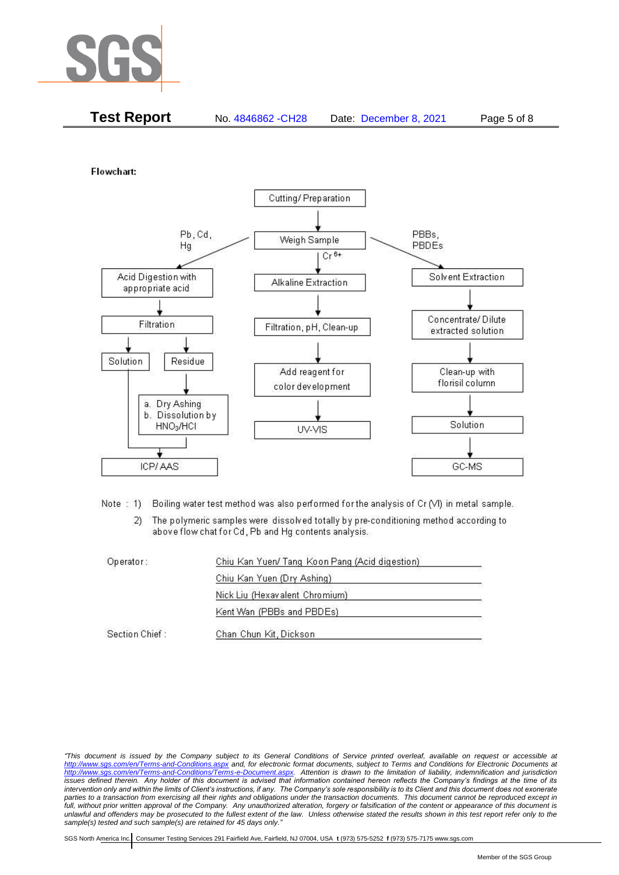

| <b>Test Report</b><br>No. 4846862 - CH28 | Date: December 8, 2021 | Page 5 of 8 |
|------------------------------------------|------------------------|-------------|
|------------------------------------------|------------------------|-------------|

Flowchart:



Note: 1) Boiling water test method was also performed for the analysis of Cr (VI) in metal sample.

The polymeric samples were dissolved totally by pre-conditioning method according to  $2)$ above flow chat for Cd, Pb and Hg contents analysis.

| Operator:      | Chiu Kan Yuen/ Tang Koon Pang (Acid digestion) |  |
|----------------|------------------------------------------------|--|
|                | Chiu Kan Yuen (Dry Ashing)                     |  |
|                | Nick Liu (Hexavalent Chromium)                 |  |
|                | Kent Wan (PBBs and PBDEs)                      |  |
| Section Chief: | Chan Chun Kit, Dickson                         |  |

*"This document is issued by the Company subject to its General Conditions of Service printed overleaf, available on request or accessible at <http://www.sgs.com/en/Terms-and-Conditions.aspx> and, for electronic format documents, subject to Terms and Conditions for Electronic Documents at [http://www.sgs.com/en/Terms-and-Conditions/Terms-e-Document.aspx.](http://www.sgs.com/en/Terms-and-Conditions/Terms-e-Document.aspx) Attention is drawn to the limitation of liability, indemnification and jurisdiction issues defined therein. Any holder of this document is advised that information contained hereon reflects the Company's findings at the time of its intervention only and within the limits of Client's instructions, if any. The Company's sole responsibility is to its Client and this document does not exonerate parties to a transaction from exercising all their rights and obligations under the transaction documents. This document cannot be reproduced except in full, without prior written approval of the Company. Any unauthorized alteration, forgery or falsification of the content or appearance of this document is unlawful and offenders may be prosecuted to the fullest extent of the law. Unless otherwise stated the results shown in this test report refer only to the sample(s) tested and such sample(s) are retained for 45 days only."*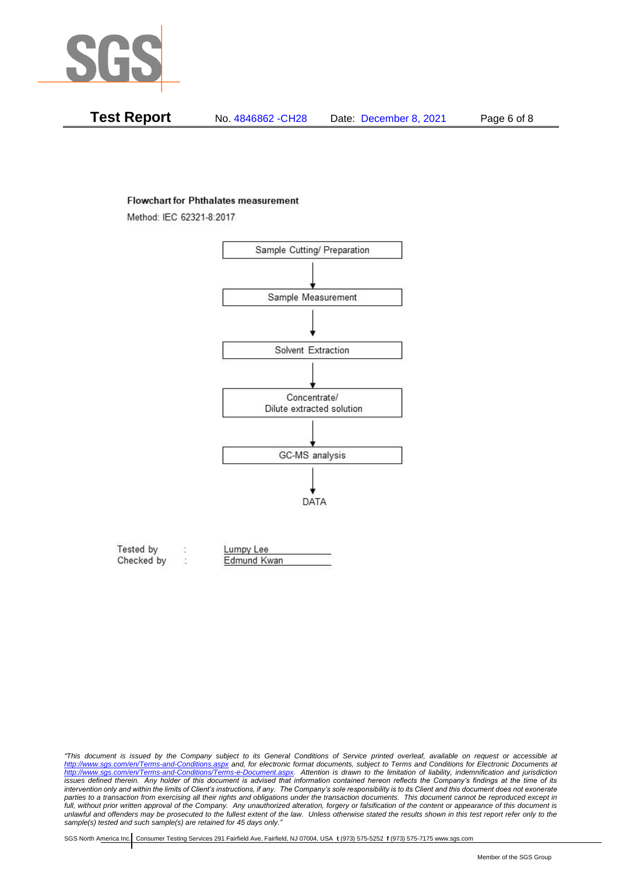

| Test Report | No. 4846862 - CH28 | Date: December 8, 2021 | Page 6 of 8 |
|-------------|--------------------|------------------------|-------------|
|-------------|--------------------|------------------------|-------------|

#### **Flowchart for Phthalates measurement**

Method: IEC 62321-8:2017



| Tested by  | Lumpy Lee   |  |
|------------|-------------|--|
| Checked by | Edmund Kwan |  |

*<sup>&</sup>quot;This document is issued by the Company subject to its General Conditions of Service printed overleaf, available on request or accessible at <http://www.sgs.com/en/Terms-and-Conditions.aspx> and, for electronic format documents, subject to Terms and Conditions for Electronic Documents at [http://www.sgs.com/en/Terms-and-Conditions/Terms-e-Document.aspx.](http://www.sgs.com/en/Terms-and-Conditions/Terms-e-Document.aspx) Attention is drawn to the limitation of liability, indemnification and jurisdiction issues defined therein. Any holder of this document is advised that information contained hereon reflects the Company's findings at the time of its intervention only and within the limits of Client's instructions, if any. The Company's sole responsibility is to its Client and this document does not exonerate*  parties to a transaction from exercising all their rights and obligations under the transaction documents. This document cannot be reproduced except in *full, without prior written approval of the Company. Any unauthorized alteration, forgery or falsification of the content or appearance of this document is unlawful and offenders may be prosecuted to the fullest extent of the law. Unless otherwise stated the results shown in this test report refer only to the sample(s) tested and such sample(s) are retained for 45 days only."*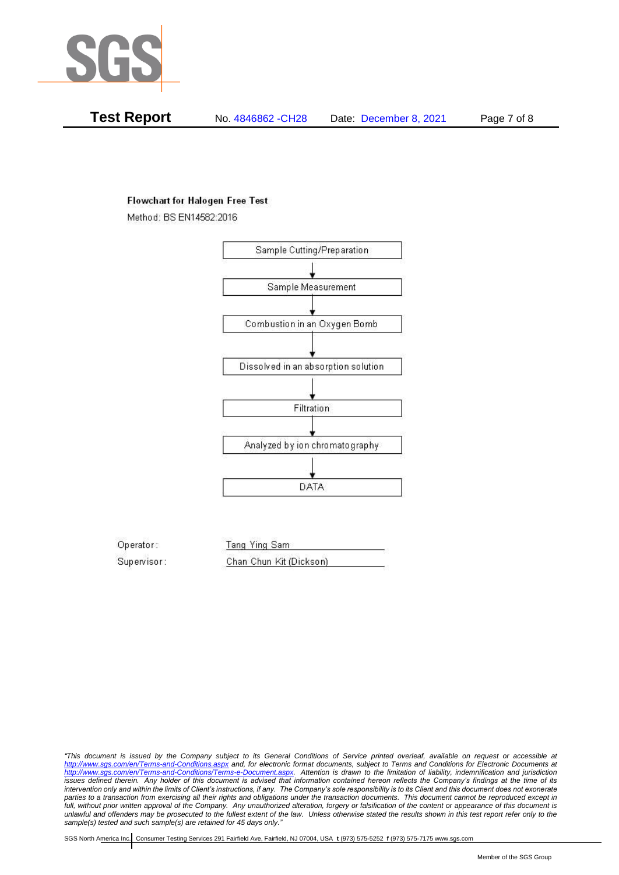

**Test Report** No. 4846862 -CH28 Date: December 8, 2021 Page 7 of 8

## **Flowchart for Halogen Free Test**

Method: BS EN14582:2016



Operator: Tang Ying Sam Supervisor: Chan Chun Kit (Dickson)

*"This document is issued by the Company subject to its General Conditions of Service printed overleaf, available on request or accessible at <http://www.sgs.com/en/Terms-and-Conditions.aspx> and, for electronic format documents, subject to Terms and Conditions for Electronic Documents at [http://www.sgs.com/en/Terms-and-Conditions/Terms-e-Document.aspx.](http://www.sgs.com/en/Terms-and-Conditions/Terms-e-Document.aspx) Attention is drawn to the limitation of liability, indemnification and jurisdiction issues defined therein. Any holder of this document is advised that information contained hereon reflects the Company's findings at the time of its intervention only and within the limits of Client's instructions, if any. The Company's sole responsibility is to its Client and this document does not exonerate parties to a transaction from exercising all their rights and obligations under the transaction documents. This document cannot be reproduced except in full, without prior written approval of the Company. Any unauthorized alteration, forgery or falsification of the content or appearance of this document is unlawful and offenders may be prosecuted to the fullest extent of the law. Unless otherwise stated the results shown in this test report refer only to the sample(s) tested and such sample(s) are retained for 45 days only."*